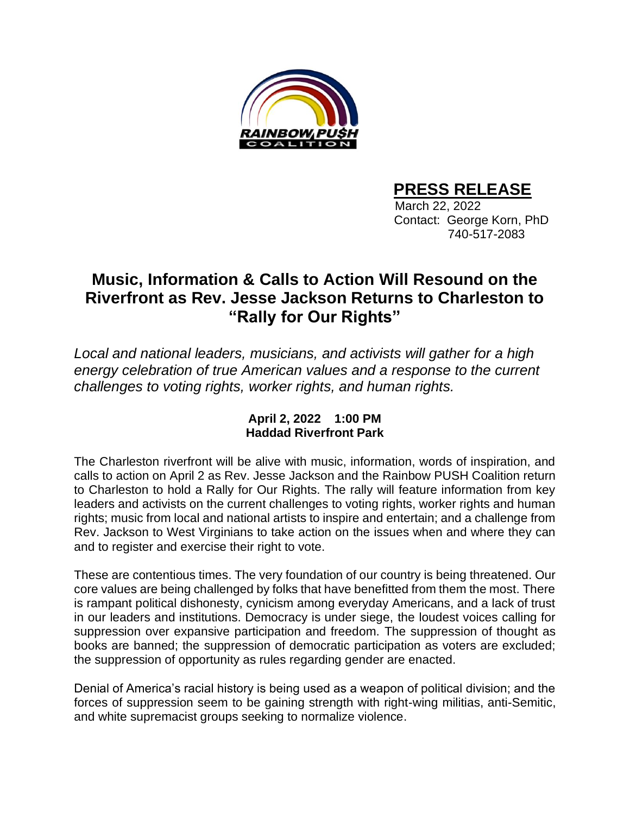

## **PRESS RELEASE**

 March 22, 2022 Contact: George Korn, PhD 740-517-2083

## **Music, Information & Calls to Action Will Resound on the Riverfront as Rev. Jesse Jackson Returns to Charleston to "Rally for Our Rights"**

*Local and national leaders, musicians, and activists will gather for a high energy celebration of true American values and a response to the current challenges to voting rights, worker rights, and human rights.*

## **April 2, 2022 1:00 PM Haddad Riverfront Park**

The Charleston riverfront will be alive with music, information, words of inspiration, and calls to action on April 2 as Rev. Jesse Jackson and the Rainbow PUSH Coalition return to Charleston to hold a Rally for Our Rights. The rally will feature information from key leaders and activists on the current challenges to voting rights, worker rights and human rights; music from local and national artists to inspire and entertain; and a challenge from Rev. Jackson to West Virginians to take action on the issues when and where they can and to register and exercise their right to vote.

These are contentious times. The very foundation of our country is being threatened. Our core values are being challenged by folks that have benefitted from them the most. There is rampant political dishonesty, cynicism among everyday Americans, and a lack of trust in our leaders and institutions. Democracy is under siege, the loudest voices calling for suppression over expansive participation and freedom. The suppression of thought as books are banned; the suppression of democratic participation as voters are excluded; the suppression of opportunity as rules regarding gender are enacted.

Denial of America's racial history is being used as a weapon of political division; and the forces of suppression seem to be gaining strength with right-wing militias, anti-Semitic, and white supremacist groups seeking to normalize violence.